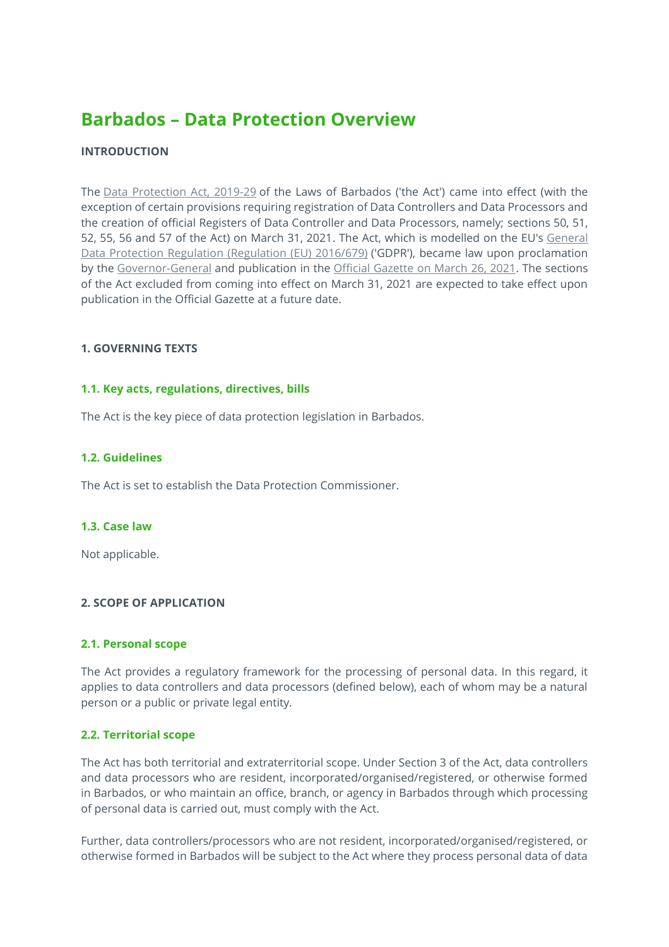# **Barbados – Data Protection Overview**

# **INTRODUCTION**

The [Data Protection Act, 2019-29](https://www.dataguidance.com/legal-research/data-protection-bill-2019-0) of the Laws of Barbados ('the Act') came into effect (with the exception of certain provisions requiring registration of Data Controllers and Data Processors and the creation of official Registers of Data Controller and Data Processors, namely; sections 50, 51, 52, 55, 56 and 57 of the Act) on March 31, 2021. The Act, which is modelled on the EU's General [Data Protection Regulation \(Regulation \(EU\) 2016/679\)](https://platform.dataguidance.com/cross-border-charts/general-data-protection-regulation) ('GDPR'), became law upon proclamation by the [Governor-General](https://www.gov.bb/Visit-Barbados/governor-general) and publication in the [Official Gazette](https://gisbarbados.gov.bb/the-official-gazette/) on March 26, 2021. The sections of the Act excluded from coming into effect on March 31, 2021 are expected to take effect upon publication in the Official Gazette at a future date.

### **1. GOVERNING TEXTS**

### **1.1. Key acts, regulations, directives, bills**

The Act is the key piece of data protection legislation in Barbados.

### **1.2. Guidelines**

The Act is set to establish the Data Protection Commissioner.

### **1.3. Case law**

Not applicable.

# **2. SCOPE OF APPLICATION**

### **2.1. Personal scope**

The Act provides a regulatory framework for the processing of personal data. In this regard, it applies to data controllers and data processors (defined below), each of whom may be a natural person or a public or private legal entity.

### **2.2. Territorial scope**

The Act has both territorial and extraterritorial scope. Under Section 3 of the Act, data controllers and data processors who are resident, incorporated/organised/registered, or otherwise formed in Barbados, or who maintain an office, branch, or agency in Barbados through which processing of personal data is carried out, must comply with the Act.

Further, data controllers/processors who are not resident, incorporated/organised/registered, or otherwise formed in Barbados will be subject to the Act where they process personal data of data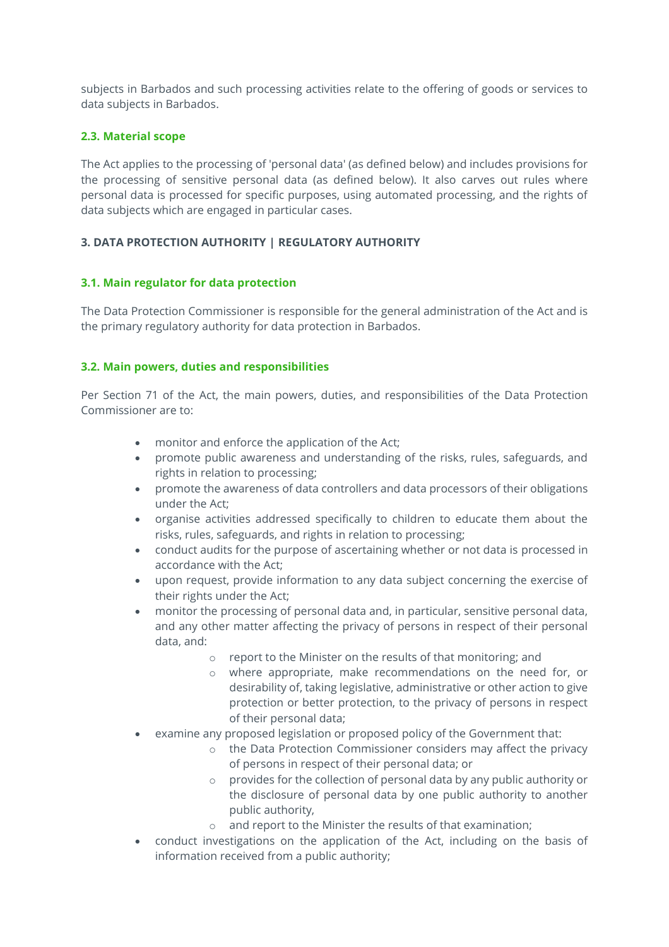subjects in Barbados and such processing activities relate to the offering of goods or services to data subjects in Barbados.

# **2.3. Material scope**

The Act applies to the processing of 'personal data' (as defined below) and includes provisions for the processing of sensitive personal data (as defined below). It also carves out rules where personal data is processed for specific purposes, using automated processing, and the rights of data subjects which are engaged in particular cases.

# **3. DATA PROTECTION AUTHORITY | REGULATORY AUTHORITY**

# **3.1. Main regulator for data protection**

The Data Protection Commissioner is responsible for the general administration of the Act and is the primary regulatory authority for data protection in Barbados.

# **3.2. Main powers, duties and responsibilities**

Per Section 71 of the Act, the main powers, duties, and responsibilities of the Data Protection Commissioner are to:

- monitor and enforce the application of the Act;
- promote public awareness and understanding of the risks, rules, safeguards, and rights in relation to processing;
- promote the awareness of data controllers and data processors of their obligations under the Act;
- organise activities addressed specifically to children to educate them about the risks, rules, safeguards, and rights in relation to processing;
- conduct audits for the purpose of ascertaining whether or not data is processed in accordance with the Act;
- upon request, provide information to any data subject concerning the exercise of their rights under the Act;
- monitor the processing of personal data and, in particular, sensitive personal data, and any other matter affecting the privacy of persons in respect of their personal data, and:
	- o report to the Minister on the results of that monitoring; and
	- o where appropriate, make recommendations on the need for, or desirability of, taking legislative, administrative or other action to give protection or better protection, to the privacy of persons in respect of their personal data;
- examine any proposed legislation or proposed policy of the Government that:
	- $\circ$  the Data Protection Commissioner considers may affect the privacy of persons in respect of their personal data; or
	- o provides for the collection of personal data by any public authority or the disclosure of personal data by one public authority to another public authority,
	- and report to the Minister the results of that examination;
- conduct investigations on the application of the Act, including on the basis of information received from a public authority;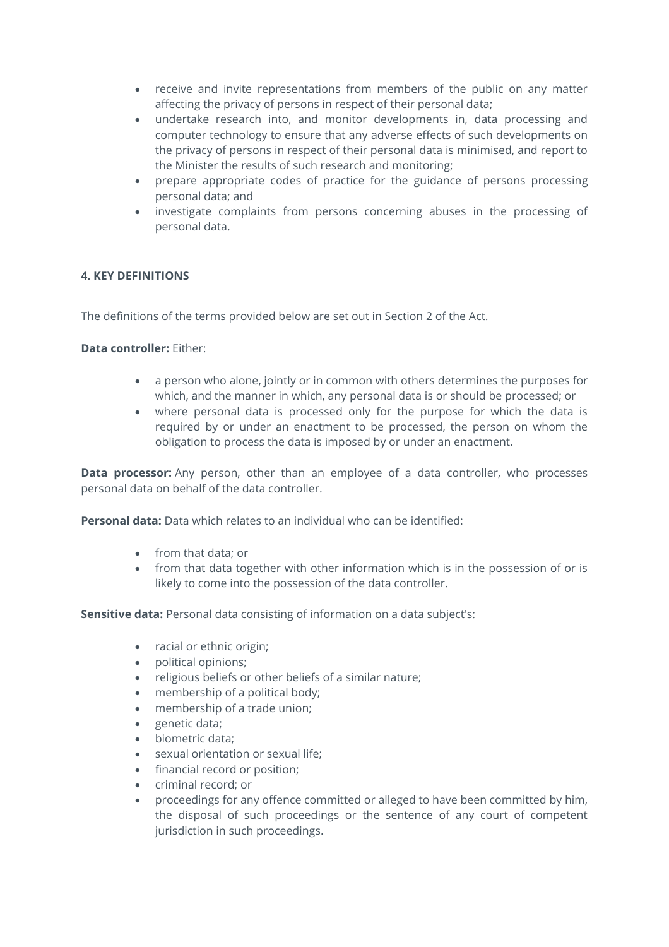- receive and invite representations from members of the public on any matter affecting the privacy of persons in respect of their personal data;
- undertake research into, and monitor developments in, data processing and computer technology to ensure that any adverse effects of such developments on the privacy of persons in respect of their personal data is minimised, and report to the Minister the results of such research and monitoring;
- prepare appropriate codes of practice for the guidance of persons processing personal data; and
- investigate complaints from persons concerning abuses in the processing of personal data.

# **4. KEY DEFINITIONS**

The definitions of the terms provided below are set out in Section 2 of the Act.

### **Data controller:** Either:

- a person who alone, jointly or in common with others determines the purposes for which, and the manner in which, any personal data is or should be processed; or
- where personal data is processed only for the purpose for which the data is required by or under an enactment to be processed, the person on whom the obligation to process the data is imposed by or under an enactment.

**Data processor:** Any person, other than an employee of a data controller, who processes personal data on behalf of the data controller.

**Personal data:** Data which relates to an individual who can be identified:

- from that data; or
- from that data together with other information which is in the possession of or is likely to come into the possession of the data controller.

**Sensitive data:** Personal data consisting of information on a data subject's:

- racial or ethnic origin;
- political opinions;
- religious beliefs or other beliefs of a similar nature;
- membership of a political body;
- membership of a trade union;
- genetic data;
- biometric data;
- sexual orientation or sexual life;
- financial record or position;
- criminal record; or
- proceedings for any offence committed or alleged to have been committed by him, the disposal of such proceedings or the sentence of any court of competent jurisdiction in such proceedings.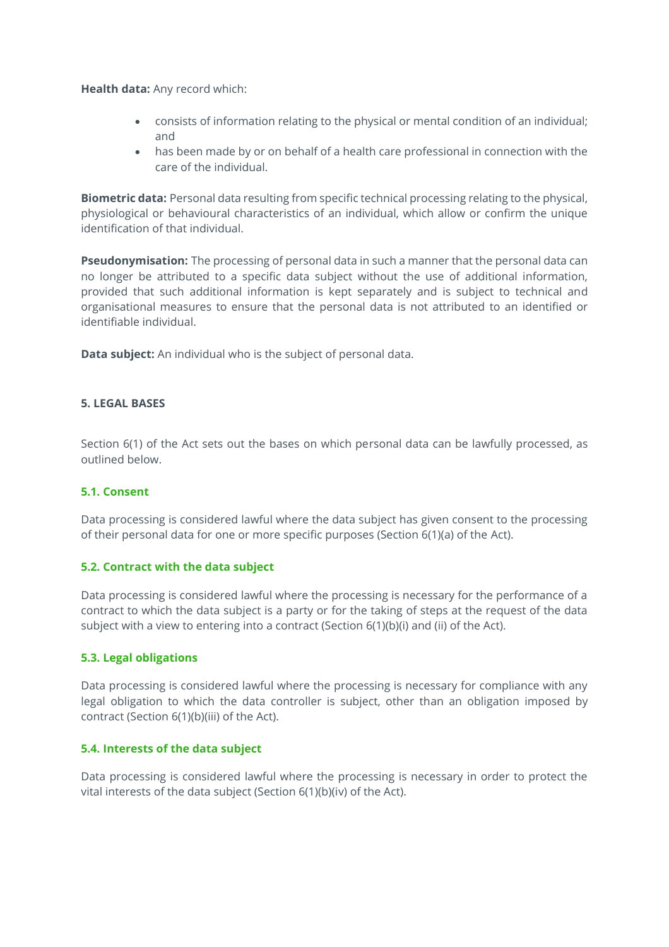**Health data:** Any record which:

- consists of information relating to the physical or mental condition of an individual; and
- has been made by or on behalf of a health care professional in connection with the care of the individual.

**Biometric data:** Personal data resulting from specific technical processing relating to the physical, physiological or behavioural characteristics of an individual, which allow or confirm the unique identification of that individual.

**Pseudonymisation:** The processing of personal data in such a manner that the personal data can no longer be attributed to a specific data subject without the use of additional information, provided that such additional information is kept separately and is subject to technical and organisational measures to ensure that the personal data is not attributed to an identified or identifiable individual.

**Data subject:** An individual who is the subject of personal data.

### **5. LEGAL BASES**

Section 6(1) of the Act sets out the bases on which personal data can be lawfully processed, as outlined below.

### **5.1. Consent**

Data processing is considered lawful where the data subject has given consent to the processing of their personal data for one or more specific purposes (Section 6(1)(a) of the Act).

### **5.2. Contract with the data subject**

Data processing is considered lawful where the processing is necessary for the performance of a contract to which the data subject is a party or for the taking of steps at the request of the data subject with a view to entering into a contract (Section 6(1)(b)(i) and (ii) of the Act).

### **5.3. Legal obligations**

Data processing is considered lawful where the processing is necessary for compliance with any legal obligation to which the data controller is subject, other than an obligation imposed by contract (Section 6(1)(b)(iii) of the Act).

### **5.4. Interests of the data subject**

Data processing is considered lawful where the processing is necessary in order to protect the vital interests of the data subject (Section 6(1)(b)(iv) of the Act).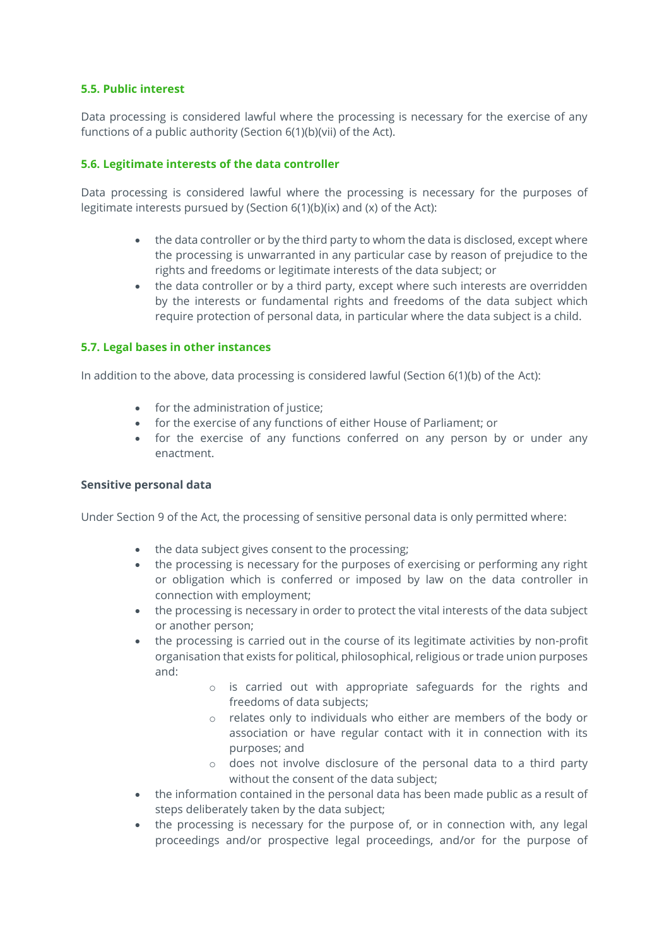### **5.5. Public interest**

Data processing is considered lawful where the processing is necessary for the exercise of any functions of a public authority (Section 6(1)(b)(vii) of the Act).

### **5.6. Legitimate interests of the data controller**

Data processing is considered lawful where the processing is necessary for the purposes of legitimate interests pursued by (Section 6(1)(b)(ix) and (x) of the Act):

- the data controller or by the third party to whom the data is disclosed, except where the processing is unwarranted in any particular case by reason of prejudice to the rights and freedoms or legitimate interests of the data subject; or
- the data controller or by a third party, except where such interests are overridden by the interests or fundamental rights and freedoms of the data subject which require protection of personal data, in particular where the data subject is a child.

### **5.7. Legal bases in other instances**

In addition to the above, data processing is considered lawful (Section 6(1)(b) of the Act):

- for the administration of justice;
- for the exercise of any functions of either House of Parliament; or
- for the exercise of any functions conferred on any person by or under any enactment.

### **Sensitive personal data**

Under Section 9 of the Act, the processing of sensitive personal data is only permitted where:

- the data subject gives consent to the processing;
- the processing is necessary for the purposes of exercising or performing any right or obligation which is conferred or imposed by law on the data controller in connection with employment;
- the processing is necessary in order to protect the vital interests of the data subject or another person;
- the processing is carried out in the course of its legitimate activities by non-profit organisation that exists for political, philosophical, religious or trade union purposes and:
	- o is carried out with appropriate safeguards for the rights and freedoms of data subjects;
	- o relates only to individuals who either are members of the body or association or have regular contact with it in connection with its purposes; and
	- o does not involve disclosure of the personal data to a third party without the consent of the data subject;
- the information contained in the personal data has been made public as a result of steps deliberately taken by the data subject;
- the processing is necessary for the purpose of, or in connection with, any legal proceedings and/or prospective legal proceedings, and/or for the purpose of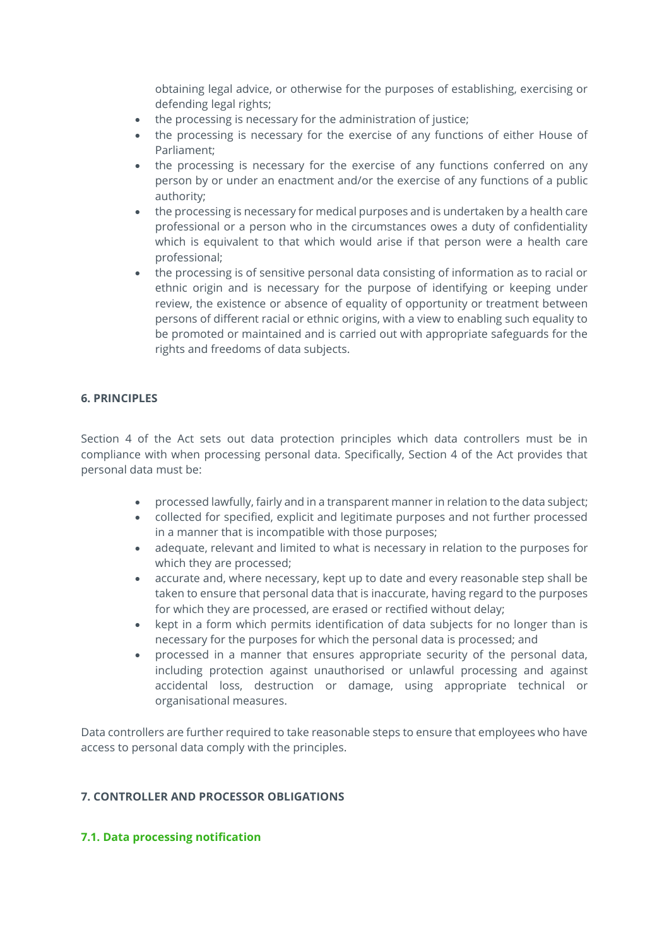obtaining legal advice, or otherwise for the purposes of establishing, exercising or defending legal rights;

- the processing is necessary for the administration of justice;
- the processing is necessary for the exercise of any functions of either House of Parliament;
- the processing is necessary for the exercise of any functions conferred on any person by or under an enactment and/or the exercise of any functions of a public authority;
- the processing is necessary for medical purposes and is undertaken by a health care professional or a person who in the circumstances owes a duty of confidentiality which is equivalent to that which would arise if that person were a health care professional;
- the processing is of sensitive personal data consisting of information as to racial or ethnic origin and is necessary for the purpose of identifying or keeping under review, the existence or absence of equality of opportunity or treatment between persons of different racial or ethnic origins, with a view to enabling such equality to be promoted or maintained and is carried out with appropriate safeguards for the rights and freedoms of data subjects.

### **6. PRINCIPLES**

Section 4 of the Act sets out data protection principles which data controllers must be in compliance with when processing personal data. Specifically, Section 4 of the Act provides that personal data must be:

- processed lawfully, fairly and in a transparent manner in relation to the data subject;
- collected for specified, explicit and legitimate purposes and not further processed in a manner that is incompatible with those purposes;
- adequate, relevant and limited to what is necessary in relation to the purposes for which they are processed;
- accurate and, where necessary, kept up to date and every reasonable step shall be taken to ensure that personal data that is inaccurate, having regard to the purposes for which they are processed, are erased or rectified without delay;
- kept in a form which permits identification of data subjects for no longer than is necessary for the purposes for which the personal data is processed; and
- processed in a manner that ensures appropriate security of the personal data, including protection against unauthorised or unlawful processing and against accidental loss, destruction or damage, using appropriate technical or organisational measures.

Data controllers are further required to take reasonable steps to ensure that employees who have access to personal data comply with the principles.

### **7. CONTROLLER AND PROCESSOR OBLIGATIONS**

### **7.1. Data processing notification**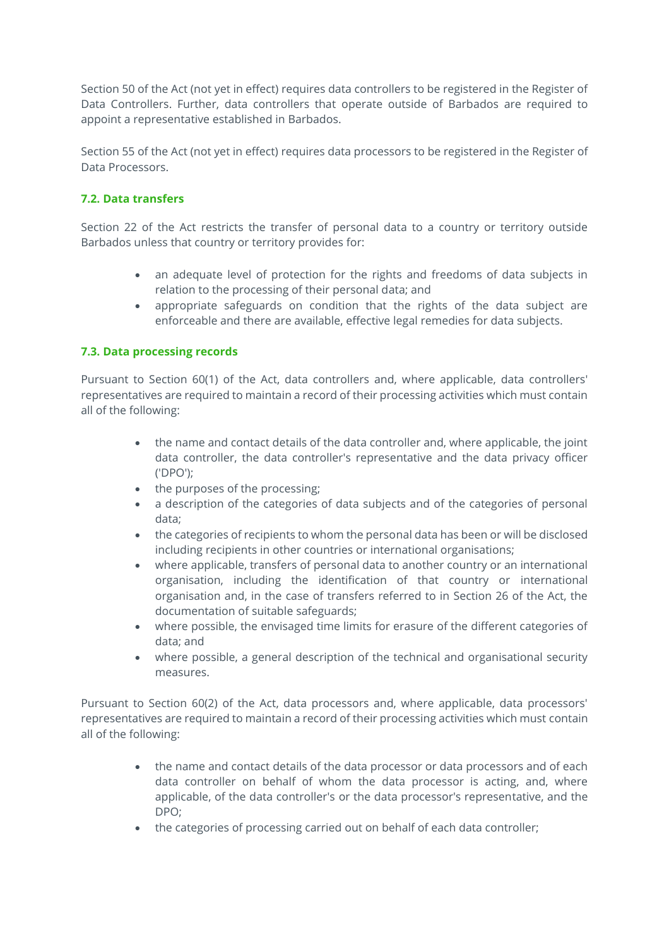Section 50 of the Act (not yet in effect) requires data controllers to be registered in the Register of Data Controllers. Further, data controllers that operate outside of Barbados are required to appoint a representative established in Barbados.

Section 55 of the Act (not yet in effect) requires data processors to be registered in the Register of Data Processors.

# **7.2. Data transfers**

Section 22 of the Act restricts the transfer of personal data to a country or territory outside Barbados unless that country or territory provides for:

- an adequate level of protection for the rights and freedoms of data subjects in relation to the processing of their personal data; and
- appropriate safeguards on condition that the rights of the data subject are enforceable and there are available, effective legal remedies for data subjects.

# **7.3. Data processing records**

Pursuant to Section 60(1) of the Act, data controllers and, where applicable, data controllers' representatives are required to maintain a record of their processing activities which must contain all of the following:

- the name and contact details of the data controller and, where applicable, the joint data controller, the data controller's representative and the data privacy officer ('DPO');
- the purposes of the processing;
- a description of the categories of data subjects and of the categories of personal data;
- the categories of recipients to whom the personal data has been or will be disclosed including recipients in other countries or international organisations;
- where applicable, transfers of personal data to another country or an international organisation, including the identification of that country or international organisation and, in the case of transfers referred to in Section 26 of the Act, the documentation of suitable safeguards;
- where possible, the envisaged time limits for erasure of the different categories of data; and
- where possible, a general description of the technical and organisational security measures.

Pursuant to Section 60(2) of the Act, data processors and, where applicable, data processors' representatives are required to maintain a record of their processing activities which must contain all of the following:

- the name and contact details of the data processor or data processors and of each data controller on behalf of whom the data processor is acting, and, where applicable, of the data controller's or the data processor's representative, and the DPO;
- the categories of processing carried out on behalf of each data controller;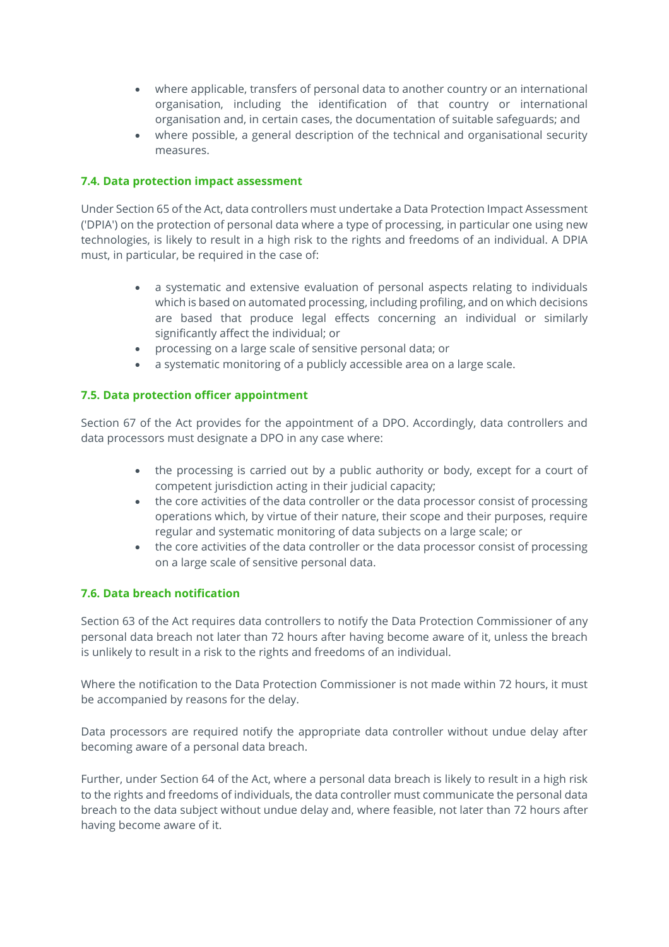- where applicable, transfers of personal data to another country or an international organisation, including the identification of that country or international organisation and, in certain cases, the documentation of suitable safeguards; and
- where possible, a general description of the technical and organisational security measures.

### **7.4. Data protection impact assessment**

Under Section 65 of the Act, data controllers must undertake a Data Protection Impact Assessment ('DPIA') on the protection of personal data where a type of processing, in particular one using new technologies, is likely to result in a high risk to the rights and freedoms of an individual. A DPIA must, in particular, be required in the case of:

- a systematic and extensive evaluation of personal aspects relating to individuals which is based on automated processing, including profiling, and on which decisions are based that produce legal effects concerning an individual or similarly significantly affect the individual; or
- processing on a large scale of sensitive personal data; or
- a systematic monitoring of a publicly accessible area on a large scale.

### **7.5. Data protection officer appointment**

Section 67 of the Act provides for the appointment of a DPO. Accordingly, data controllers and data processors must designate a DPO in any case where:

- the processing is carried out by a public authority or body, except for a court of competent jurisdiction acting in their judicial capacity;
- the core activities of the data controller or the data processor consist of processing operations which, by virtue of their nature, their scope and their purposes, require regular and systematic monitoring of data subjects on a large scale; or
- the core activities of the data controller or the data processor consist of processing on a large scale of sensitive personal data.

### **7.6. Data breach notification**

Section 63 of the Act requires data controllers to notify the Data Protection Commissioner of any personal data breach not later than 72 hours after having become aware of it, unless the breach is unlikely to result in a risk to the rights and freedoms of an individual.

Where the notification to the Data Protection Commissioner is not made within 72 hours, it must be accompanied by reasons for the delay.

Data processors are required notify the appropriate data controller without undue delay after becoming aware of a personal data breach.

Further, under Section 64 of the Act, where a personal data breach is likely to result in a high risk to the rights and freedoms of individuals, the data controller must communicate the personal data breach to the data subject without undue delay and, where feasible, not later than 72 hours after having become aware of it.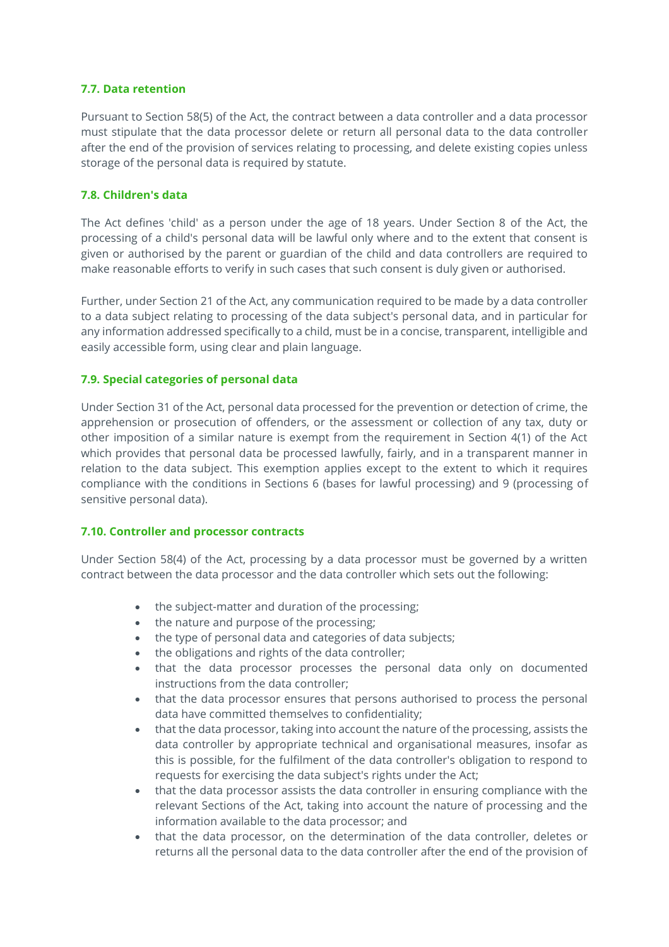### **7.7. Data retention**

Pursuant to Section 58(5) of the Act, the contract between a data controller and a data processor must stipulate that the data processor delete or return all personal data to the data controller after the end of the provision of services relating to processing, and delete existing copies unless storage of the personal data is required by statute.

### **7.8. Children's data**

The Act defines 'child' as a person under the age of 18 years. Under Section 8 of the Act, the processing of a child's personal data will be lawful only where and to the extent that consent is given or authorised by the parent or guardian of the child and data controllers are required to make reasonable efforts to verify in such cases that such consent is duly given or authorised.

Further, under Section 21 of the Act, any communication required to be made by a data controller to a data subject relating to processing of the data subject's personal data, and in particular for any information addressed specifically to a child, must be in a concise, transparent, intelligible and easily accessible form, using clear and plain language.

### **7.9. Special categories of personal data**

Under Section 31 of the Act, personal data processed for the prevention or detection of crime, the apprehension or prosecution of offenders, or the assessment or collection of any tax, duty or other imposition of a similar nature is exempt from the requirement in Section 4(1) of the Act which provides that personal data be processed lawfully, fairly, and in a transparent manner in relation to the data subject. This exemption applies except to the extent to which it requires compliance with the conditions in Sections 6 (bases for lawful processing) and 9 (processing of sensitive personal data).

### **7.10. Controller and processor contracts**

Under Section 58(4) of the Act, processing by a data processor must be governed by a written contract between the data processor and the data controller which sets out the following:

- the subject-matter and duration of the processing;
- the nature and purpose of the processing;
- the type of personal data and categories of data subjects;
- the obligations and rights of the data controller;
- that the data processor processes the personal data only on documented instructions from the data controller;
- that the data processor ensures that persons authorised to process the personal data have committed themselves to confidentiality;
- that the data processor, taking into account the nature of the processing, assists the data controller by appropriate technical and organisational measures, insofar as this is possible, for the fulfilment of the data controller's obligation to respond to requests for exercising the data subject's rights under the Act;
- that the data processor assists the data controller in ensuring compliance with the relevant Sections of the Act, taking into account the nature of processing and the information available to the data processor; and
- that the data processor, on the determination of the data controller, deletes or returns all the personal data to the data controller after the end of the provision of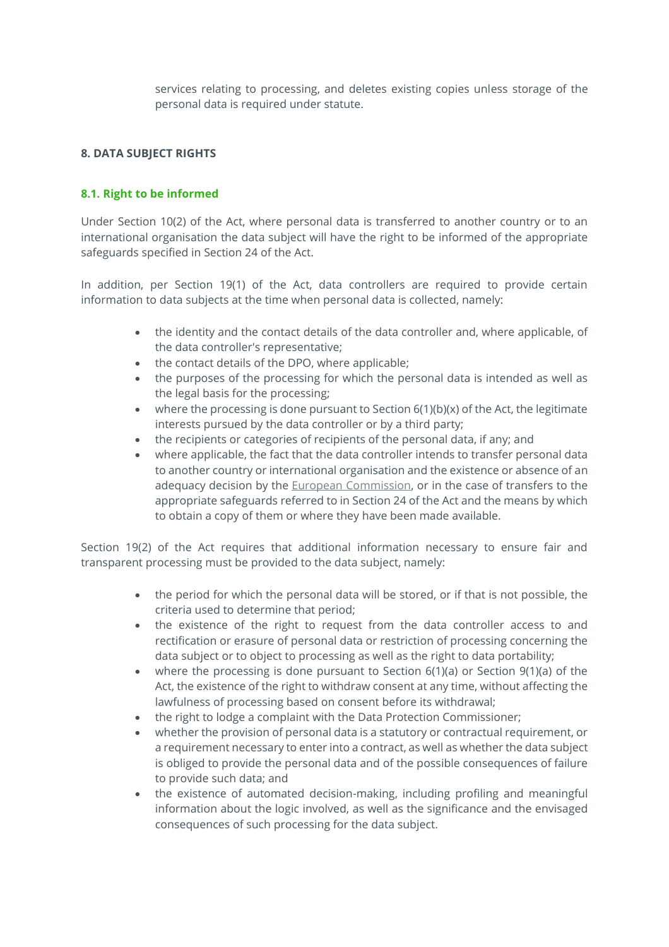services relating to processing, and deletes existing copies unless storage of the personal data is required under statute.

# **8. DATA SUBJECT RIGHTS**

# **8.1. Right to be informed**

Under Section 10(2) of the Act, where personal data is transferred to another country or to an international organisation the data subject will have the right to be informed of the appropriate safeguards specified in Section 24 of the Act.

In addition, per Section 19(1) of the Act, data controllers are required to provide certain information to data subjects at the time when personal data is collected, namely:

- the identity and the contact details of the data controller and, where applicable, of the data controller's representative;
- the contact details of the DPO, where applicable;
- the purposes of the processing for which the personal data is intended as well as the legal basis for the processing;
- where the processing is done pursuant to Section  $6(1)(b)(x)$  of the Act, the legitimate interests pursued by the data controller or by a third party;
- the recipients or categories of recipients of the personal data, if any; and
- where applicable, the fact that the data controller intends to transfer personal data to another country or international organisation and the existence or absence of an adequacy decision by the **European Commission**, or in the case of transfers to the appropriate safeguards referred to in Section 24 of the Act and the means by which to obtain a copy of them or where they have been made available.

Section 19(2) of the Act requires that additional information necessary to ensure fair and transparent processing must be provided to the data subject, namely:

- the period for which the personal data will be stored, or if that is not possible, the criteria used to determine that period;
- the existence of the right to request from the data controller access to and rectification or erasure of personal data or restriction of processing concerning the data subject or to object to processing as well as the right to data portability;
- where the processing is done pursuant to Section 6(1)(a) or Section 9(1)(a) of the Act, the existence of the right to withdraw consent at any time, without affecting the lawfulness of processing based on consent before its withdrawal;
- the right to lodge a complaint with the Data Protection Commissioner;
- whether the provision of personal data is a statutory or contractual requirement, or a requirement necessary to enter into a contract, as well as whether the data subject is obliged to provide the personal data and of the possible consequences of failure to provide such data; and
- the existence of automated decision-making, including profiling and meaningful information about the logic involved, as well as the significance and the envisaged consequences of such processing for the data subject.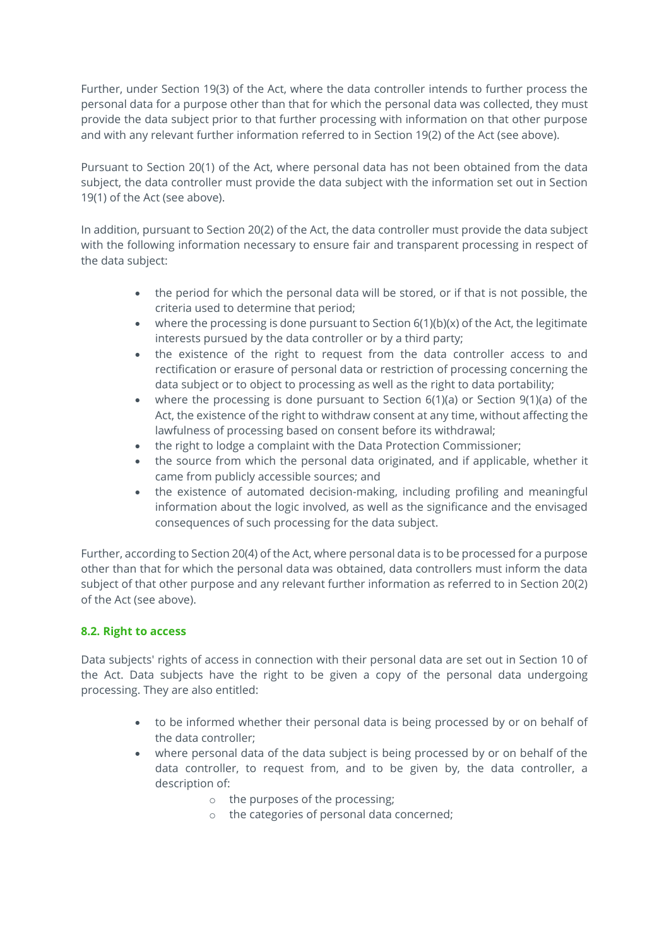Further, under Section 19(3) of the Act, where the data controller intends to further process the personal data for a purpose other than that for which the personal data was collected, they must provide the data subject prior to that further processing with information on that other purpose and with any relevant further information referred to in Section 19(2) of the Act (see above).

Pursuant to Section 20(1) of the Act, where personal data has not been obtained from the data subject, the data controller must provide the data subject with the information set out in Section 19(1) of the Act (see above).

In addition, pursuant to Section 20(2) of the Act, the data controller must provide the data subject with the following information necessary to ensure fair and transparent processing in respect of the data subject:

- the period for which the personal data will be stored, or if that is not possible, the criteria used to determine that period;
- where the processing is done pursuant to Section  $6(1)(b)(x)$  of the Act, the legitimate interests pursued by the data controller or by a third party;
- the existence of the right to request from the data controller access to and rectification or erasure of personal data or restriction of processing concerning the data subject or to object to processing as well as the right to data portability;
- where the processing is done pursuant to Section 6(1)(a) or Section 9(1)(a) of the Act, the existence of the right to withdraw consent at any time, without affecting the lawfulness of processing based on consent before its withdrawal;
- the right to lodge a complaint with the Data Protection Commissioner;
- the source from which the personal data originated, and if applicable, whether it came from publicly accessible sources; and
- the existence of automated decision-making, including profiling and meaningful information about the logic involved, as well as the significance and the envisaged consequences of such processing for the data subject.

Further, according to Section 20(4) of the Act, where personal data is to be processed for a purpose other than that for which the personal data was obtained, data controllers must inform the data subject of that other purpose and any relevant further information as referred to in Section 20(2) of the Act (see above).

# **8.2. Right to access**

Data subjects' rights of access in connection with their personal data are set out in Section 10 of the Act. Data subjects have the right to be given a copy of the personal data undergoing processing. They are also entitled:

- to be informed whether their personal data is being processed by or on behalf of the data controller;
- where personal data of the data subject is being processed by or on behalf of the data controller, to request from, and to be given by, the data controller, a description of:
	- o the purposes of the processing;
	- o the categories of personal data concerned;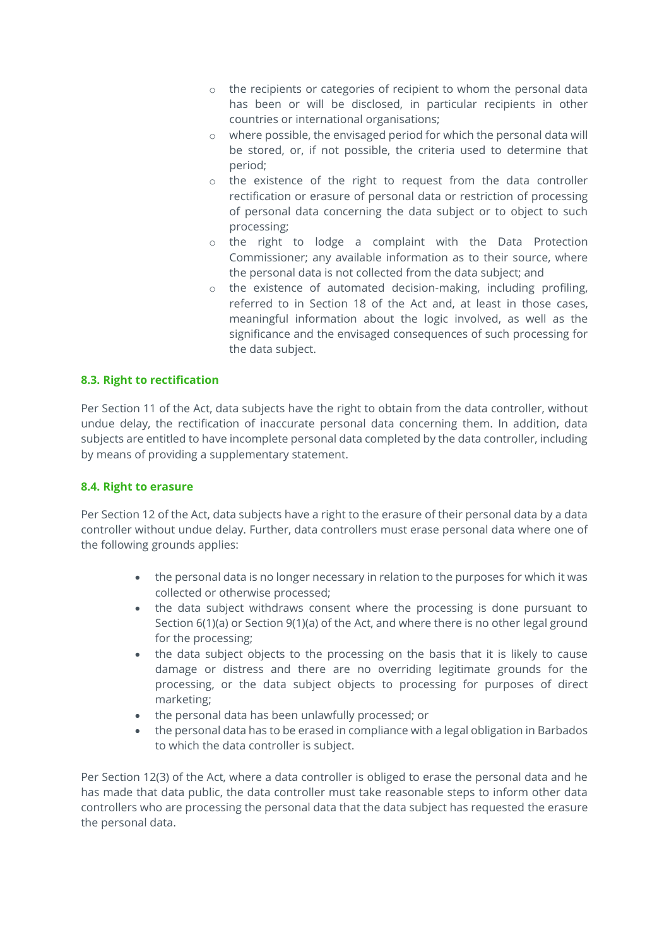- o the recipients or categories of recipient to whom the personal data has been or will be disclosed, in particular recipients in other countries or international organisations;
- o where possible, the envisaged period for which the personal data will be stored, or, if not possible, the criteria used to determine that period;
- o the existence of the right to request from the data controller rectification or erasure of personal data or restriction of processing of personal data concerning the data subject or to object to such processing;
- o the right to lodge a complaint with the Data Protection Commissioner; any available information as to their source, where the personal data is not collected from the data subject; and
- o the existence of automated decision-making, including profiling, referred to in Section 18 of the Act and, at least in those cases, meaningful information about the logic involved, as well as the significance and the envisaged consequences of such processing for the data subject.

# **8.3. Right to rectification**

Per Section 11 of the Act, data subjects have the right to obtain from the data controller, without undue delay, the rectification of inaccurate personal data concerning them. In addition, data subjects are entitled to have incomplete personal data completed by the data controller, including by means of providing a supplementary statement.

# **8.4. Right to erasure**

Per Section 12 of the Act, data subjects have a right to the erasure of their personal data by a data controller without undue delay. Further, data controllers must erase personal data where one of the following grounds applies:

- the personal data is no longer necessary in relation to the purposes for which it was collected or otherwise processed;
- the data subject withdraws consent where the processing is done pursuant to Section 6(1)(a) or Section 9(1)(a) of the Act, and where there is no other legal ground for the processing;
- the data subject objects to the processing on the basis that it is likely to cause damage or distress and there are no overriding legitimate grounds for the processing, or the data subject objects to processing for purposes of direct marketing;
- the personal data has been unlawfully processed; or
- the personal data has to be erased in compliance with a legal obligation in Barbados to which the data controller is subject.

Per Section 12(3) of the Act, where a data controller is obliged to erase the personal data and he has made that data public, the data controller must take reasonable steps to inform other data controllers who are processing the personal data that the data subject has requested the erasure the personal data.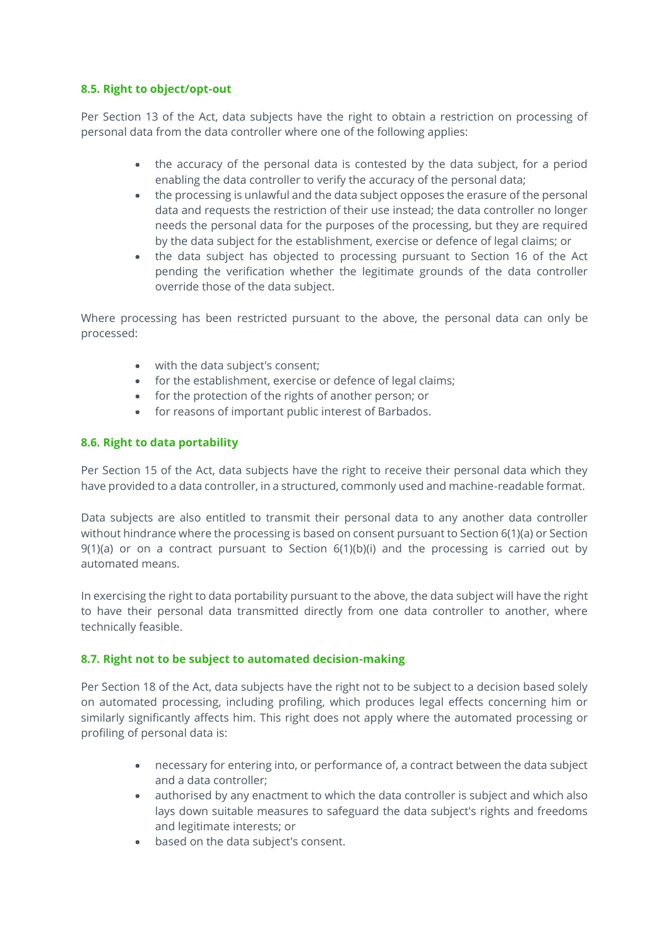### **8.5. Right to object/opt-out**

Per Section 13 of the Act, data subjects have the right to obtain a restriction on processing of personal data from the data controller where one of the following applies:

- the accuracy of the personal data is contested by the data subject, for a period enabling the data controller to verify the accuracy of the personal data;
- the processing is unlawful and the data subject opposes the erasure of the personal data and requests the restriction of their use instead; the data controller no longer needs the personal data for the purposes of the processing, but they are required by the data subject for the establishment, exercise or defence of legal claims; or
- the data subject has objected to processing pursuant to Section 16 of the Act pending the verification whether the legitimate grounds of the data controller override those of the data subject.

Where processing has been restricted pursuant to the above, the personal data can only be processed:

- with the data subject's consent;
- for the establishment, exercise or defence of legal claims;
- for the protection of the rights of another person; or
- for reasons of important public interest of Barbados.

### **8.6. Right to data portability**

Per Section 15 of the Act, data subjects have the right to receive their personal data which they have provided to a data controller, in a structured, commonly used and machine-readable format.

Data subjects are also entitled to transmit their personal data to any another data controller without hindrance where the processing is based on consent pursuant to Section 6(1)(a) or Section  $9(1)(a)$  or on a contract pursuant to Section  $6(1)(b)(i)$  and the processing is carried out by automated means.

In exercising the right to data portability pursuant to the above, the data subject will have the right to have their personal data transmitted directly from one data controller to another, where technically feasible.

### **8.7. Right not to be subject to automated decision-making**

Per Section 18 of the Act, data subjects have the right not to be subject to a decision based solely on automated processing, including profiling, which produces legal effects concerning him or similarly significantly affects him. This right does not apply where the automated processing or profiling of personal data is:

- necessary for entering into, or performance of, a contract between the data subject and a data controller;
- authorised by any enactment to which the data controller is subject and which also lays down suitable measures to safeguard the data subject's rights and freedoms and legitimate interests; or
- based on the data subject's consent.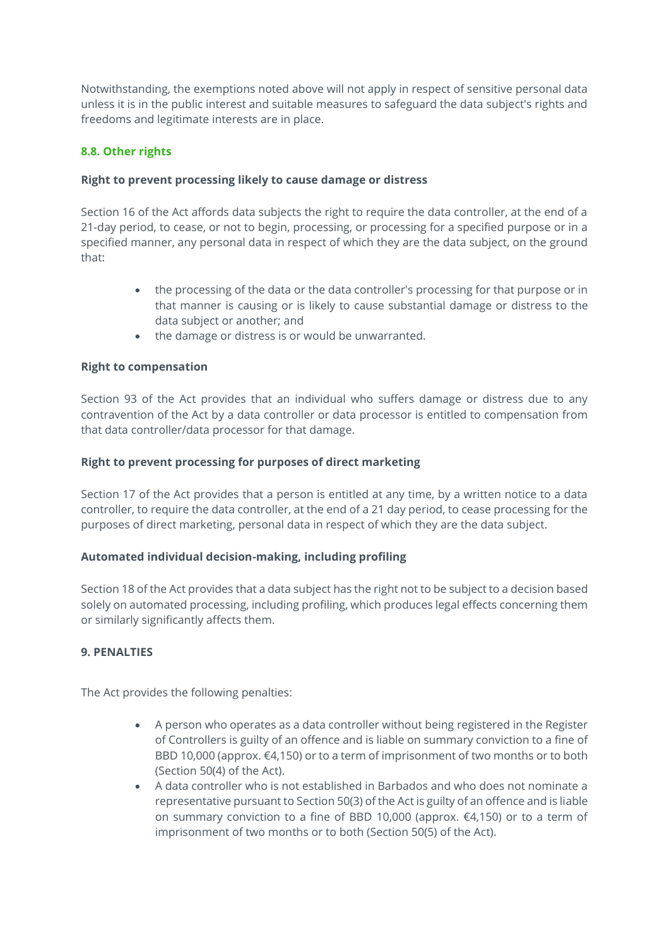Notwithstanding, the exemptions noted above will not apply in respect of sensitive personal data unless it is in the public interest and suitable measures to safeguard the data subject's rights and freedoms and legitimate interests are in place.

# **8.8. Other rights**

### **Right to prevent processing likely to cause damage or distress**

Section 16 of the Act affords data subjects the right to require the data controller, at the end of a 21-day period, to cease, or not to begin, processing, or processing for a specified purpose or in a specified manner, any personal data in respect of which they are the data subject, on the ground that:

- the processing of the data or the data controller's processing for that purpose or in that manner is causing or is likely to cause substantial damage or distress to the data subject or another; and
- the damage or distress is or would be unwarranted.

# **Right to compensation**

Section 93 of the Act provides that an individual who suffers damage or distress due to any contravention of the Act by a data controller or data processor is entitled to compensation from that data controller/data processor for that damage.

### **Right to prevent processing for purposes of direct marketing**

Section 17 of the Act provides that a person is entitled at any time, by a written notice to a data controller, to require the data controller, at the end of a 21 day period, to cease processing for the purposes of direct marketing, personal data in respect of which they are the data subject.

### **Automated individual decision-making, including profiling**

Section 18 of the Act provides that a data subject has the right not to be subject to a decision based solely on automated processing, including profiling, which produces legal effects concerning them or similarly significantly affects them.

# **9. PENALTIES**

The Act provides the following penalties:

- A person who operates as a data controller without being registered in the Register of Controllers is guilty of an offence and is liable on summary conviction to a fine of BBD 10,000 (approx. €4,150) or to a term of imprisonment of two months or to both (Section 50(4) of the Act).
- A data controller who is not established in Barbados and who does not nominate a representative pursuant to Section 50(3) of the Act is guilty of an offence and is liable on summary conviction to a fine of BBD 10,000 (approx. €4,150) or to a term of imprisonment of two months or to both (Section 50(5) of the Act).